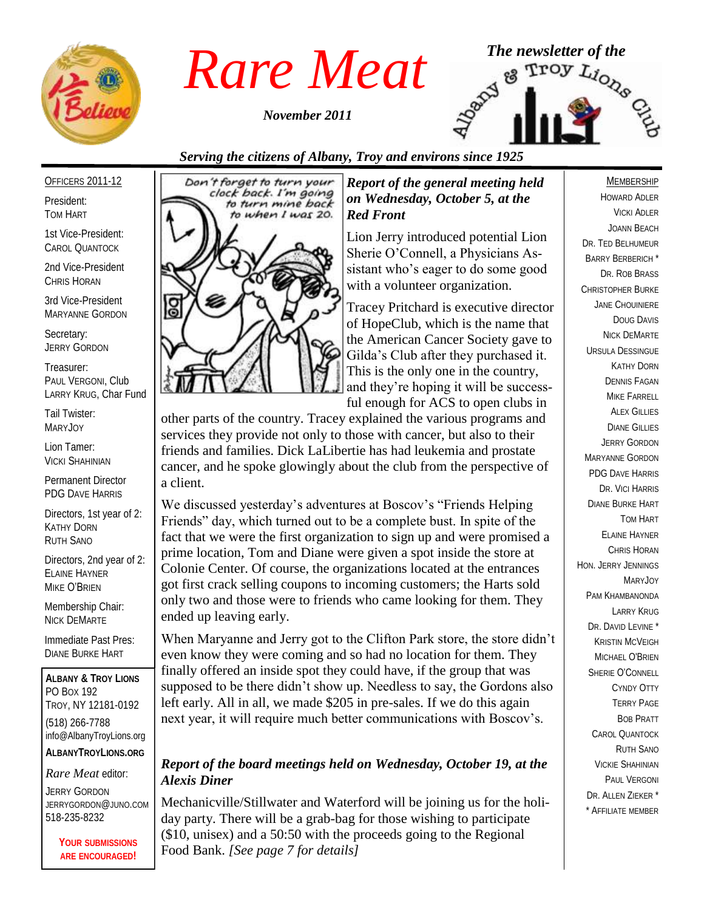

*November 2011*



#### *Serving the citizens of Albany, Troy and environs since 1925*

OFFICERS 2011-12

President: TOM HART

1st Vice-President: CAROL QUANTOCK

2nd Vice-President CHRIS HORAN

3rd Vice-President MARYANNE GORDON

Secretary: JERRY GORDON

Treasurer: PAUL VERGONI, Club LARRY KRUG, Char Fund

Tail Twister: MARYJOY

Lion Tamer: VICKI SHAHINIAN

Permanent Director PDG DAVE HARRIS

Directors, 1st year of 2: KATHY DORN RUTH SANO

Directors, 2nd year of 2: ELAINE HAYNER MIKE O'BRIEN

Membership Chair: NICK DEMARTE

Immediate Past Pres: DIANE BURKE HART

**ALBANY & TROY LIONS** PO BOX 192 TROY, NY 12181-0192 (518) 266-7788 info@AlbanyTroyLions.org **ALBANYTROYLIONS.ORG**

*Rare Meat* editor:

JERRY GORDON JERRYGORDON@JUNO.COM 518-235-8232

> **YOUR SUBMISSIONS ARE ENCOURAGED!**



#### *Report of the general meeting held on Wednesday, October 5, at the Red Front*

Lion Jerry introduced potential Lion Sherie O'Connell, a Physicians Assistant who's eager to do some good with a volunteer organization.

Tracey Pritchard is executive director of HopeClub, which is the name that the American Cancer Society gave to Gilda's Club after they purchased it. This is the only one in the country, and they're hoping it will be successful enough for ACS to open clubs in

other parts of the country. Tracey explained the various programs and services they provide not only to those with cancer, but also to their friends and families. Dick LaLibertie has had leukemia and prostate cancer, and he spoke glowingly about the club from the perspective of a client.

We discussed yesterday's adventures at Boscov's "Friends Helping Friends" day, which turned out to be a complete bust. In spite of the fact that we were the first organization to sign up and were promised a prime location, Tom and Diane were given a spot inside the store at Colonie Center. Of course, the organizations located at the entrances got first crack selling coupons to incoming customers; the Harts sold only two and those were to friends who came looking for them. They ended up leaving early.

When Maryanne and Jerry got to the Clifton Park store, the store didn't even know they were coming and so had no location for them. They finally offered an inside spot they could have, if the group that was supposed to be there didn't show up. Needless to say, the Gordons also left early. All in all, we made \$205 in pre-sales. If we do this again next year, it will require much better communications with Boscov's.

#### *Report of the board meetings held on Wednesday, October 19, at the Alexis Diner*

Mechanicville/Stillwater and Waterford will be joining us for the holiday party. There will be a grab-bag for those wishing to participate (\$10, unisex) and a 50:50 with the proceeds going to the Regional Food Bank. *[See page 7 for details]*

#### **MEMBERSHIP**

HOWARD ADLER VICKI ADLER JOANN BEACH DR. TED BELHUMEUR BARRY BERBERICH \* DR. ROB BRASS CHRISTOPHER BURKE JANE CHOUINIERE DOUG DAVIS NICK DEMARTE URSULA DESSINGUE KATHY DORN DENNIS FAGAN MIKE FARRELL ALEX GILLIES DIANE GILLIES JERRY GORDON MARYANNE GORDON PDG DAVE HARRIS DR. VICI HARRIS DIANE BURKE HART TOM HART ELAINE HAYNER CHRIS HORAN HON. JERRY JENNINGS MARYJOY PAM KHAMBANONDA LARRY KRUG DR. DAVID LEVINE<sup>\*</sup> KRISTIN MCVEIGH MICHAEL O'BRIEN SHERIE O'CONNELL CYNDY OTTY TERRY PAGE BOB PRATT CAROL QUANTOCK RUTH SANO VICKIE SHAHINIAN PAUL VERGONI DR. ALLEN ZIEKER \* \* AFFILIATE MEMBER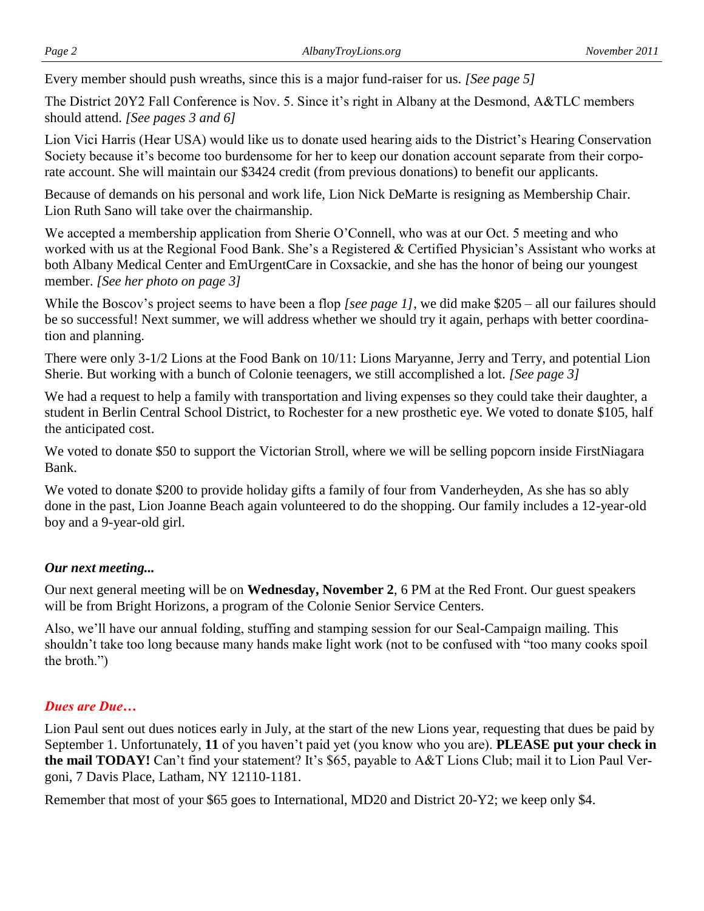Every member should push wreaths, since this is a major fund-raiser for us. *[See page 5]*

The District 20Y2 Fall Conference is Nov. 5. Since it's right in Albany at the Desmond, A&TLC members should attend. *[See pages 3 and 6]*

Lion Vici Harris (Hear USA) would like us to donate used hearing aids to the District's Hearing Conservation Society because it's become too burdensome for her to keep our donation account separate from their corporate account. She will maintain our \$3424 credit (from previous donations) to benefit our applicants.

Because of demands on his personal and work life, Lion Nick DeMarte is resigning as Membership Chair. Lion Ruth Sano will take over the chairmanship.

We accepted a membership application from Sherie O'Connell, who was at our Oct. 5 meeting and who worked with us at the Regional Food Bank. She's a Registered & Certified Physician's Assistant who works at both Albany Medical Center and EmUrgentCare in Coxsackie, and she has the honor of being our youngest member. *[See her photo on page 3]*

While the Boscov's project seems to have been a flop *[see page 1]*, we did make \$205 – all our failures should be so successful! Next summer, we will address whether we should try it again, perhaps with better coordination and planning.

There were only 3-1/2 Lions at the Food Bank on 10/11: Lions Maryanne, Jerry and Terry, and potential Lion Sherie. But working with a bunch of Colonie teenagers, we still accomplished a lot. *[See page 3]*

We had a request to help a family with transportation and living expenses so they could take their daughter, a student in Berlin Central School District, to Rochester for a new prosthetic eye. We voted to donate \$105, half the anticipated cost.

We voted to donate \$50 to support the Victorian Stroll, where we will be selling popcorn inside FirstNiagara Bank.

We voted to donate \$200 to provide holiday gifts a family of four from Vanderheyden, As she has so ably done in the past, Lion Joanne Beach again volunteered to do the shopping. Our family includes a 12-year-old boy and a 9-year-old girl.

#### *Our next meeting...*

Our next general meeting will be on **Wednesday, November 2**, 6 PM at the Red Front. Our guest speakers will be from Bright Horizons, a program of the Colonie Senior Service Centers.

Also, we'll have our annual folding, stuffing and stamping session for our Seal-Campaign mailing. This shouldn't take too long because many hands make light work (not to be confused with "too many cooks spoil the broth.")

#### *Dues are Due…*

Lion Paul sent out dues notices early in July, at the start of the new Lions year, requesting that dues be paid by September 1. Unfortunately, **11** of you haven't paid yet (you know who you are). **PLEASE put your check in the mail TODAY!** Can't find your statement? It's \$65, payable to A&T Lions Club; mail it to Lion Paul Vergoni, 7 Davis Place, Latham, NY 12110-1181.

Remember that most of your \$65 goes to International, MD20 and District 20-Y2; we keep only \$4.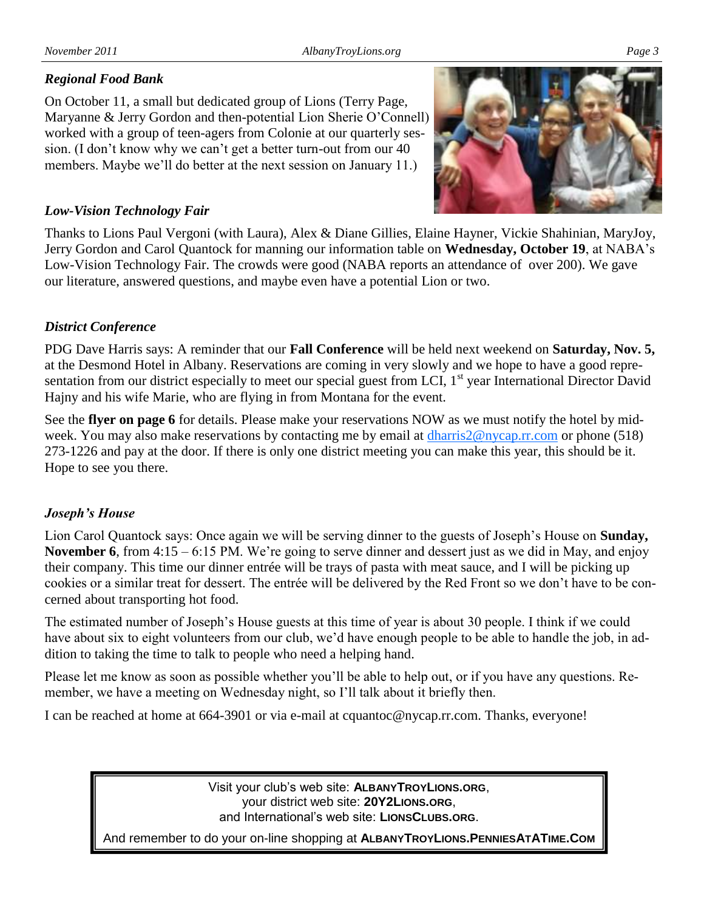#### *Regional Food Bank*

On October 11, a small but dedicated group of Lions (Terry Page, Maryanne & Jerry Gordon and then-potential Lion Sherie O'Connell) worked with a group of teen-agers from Colonie at our quarterly session. (I don't know why we can't get a better turn-out from our 40 members. Maybe we'll do better at the next session on January 11.)



#### *Low-Vision Technology Fair*

Thanks to Lions Paul Vergoni (with Laura), Alex & Diane Gillies, Elaine Hayner, Vickie Shahinian, MaryJoy, Jerry Gordon and Carol Quantock for manning our information table on **Wednesday, October 19**, at NABA's Low-Vision Technology Fair. The crowds were good (NABA reports an attendance of over 200). We gave our literature, answered questions, and maybe even have a potential Lion or two.

#### *District Conference*

PDG Dave Harris says: A reminder that our **Fall Conference** will be held next weekend on **Saturday, Nov. 5,**  at the Desmond Hotel in Albany. Reservations are coming in very slowly and we hope to have a good representation from our district especially to meet our special guest from LCI,  $1<sup>st</sup>$  year International Director David Hajny and his wife Marie, who are flying in from Montana for the event.

See the **flyer on page 6** for details. Please make your reservations NOW as we must notify the hotel by midweek. You may also make reservations by contacting me by email at dharris 2@nycap.rr.com or phone (518) 273-1226 and pay at the door. If there is only one district meeting you can make this year, this should be it. Hope to see you there.

#### *Joseph's House*

Lion Carol Quantock says: Once again we will be serving dinner to the guests of Joseph's House on **Sunday, November 6**, from 4:15 – 6:15 PM. We're going to serve dinner and dessert just as we did in May, and enjoy their company. This time our dinner entrée will be trays of pasta with meat sauce, and I will be picking up cookies or a similar treat for dessert. The entrée will be delivered by the Red Front so we don't have to be concerned about transporting hot food.

The estimated number of Joseph's House guests at this time of year is about 30 people. I think if we could have about six to eight volunteers from our club, we'd have enough people to be able to handle the job, in addition to taking the time to talk to people who need a helping hand.

Please let me know as soon as possible whether you'll be able to help out, or if you have any questions. Remember, we have a meeting on Wednesday night, so I'll talk about it briefly then.

I can be reached at home at 664-3901 or via e-mail at cquantoc@nycap.rr.com. Thanks, everyone!

Visit your club's web site: **ALBANYTROYLIONS.ORG**, your district web site: **20Y2LIONS.ORG**, and International's web site: **LIONSCLUBS.ORG**.

And remember to do your on-line shopping at **ALBANYTROYLIONS.PENNIESATATIME.COM**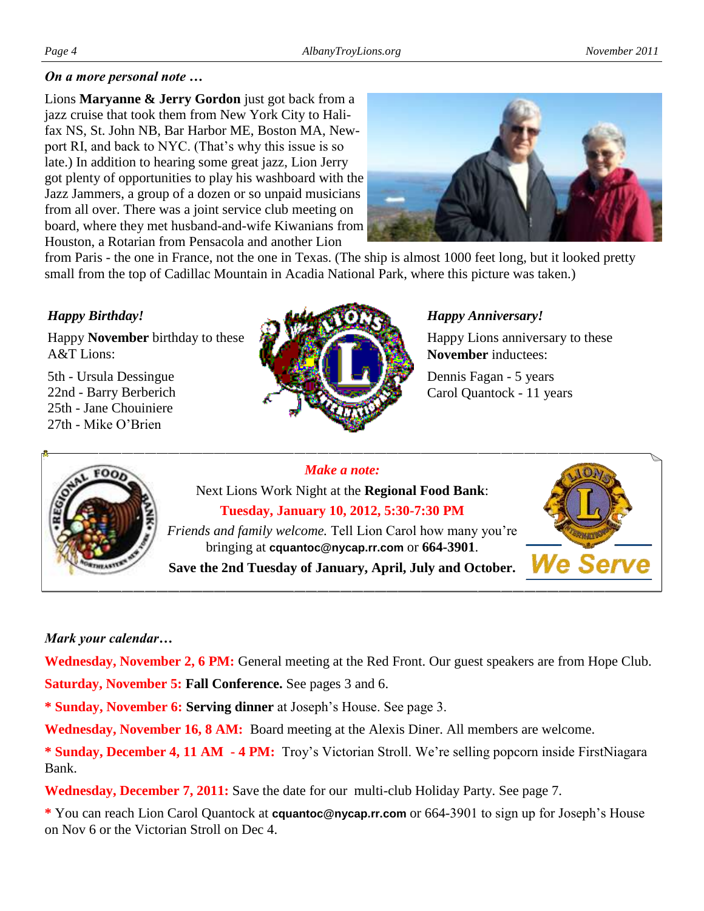Lions **Maryanne & Jerry Gordon** just got back from a jazz cruise that took them from New York City to Halifax NS, St. John NB, Bar Harbor ME, Boston MA, Newport RI, and back to NYC. (That's why this issue is so late.) In addition to hearing some great jazz, Lion Jerry got plenty of opportunities to play his washboard with the Jazz Jammers, a group of a dozen or so unpaid musicians from all over. There was a joint service club meeting on board, where they met husband-and-wife Kiwanians from Houston, a Rotarian from Pensacola and another Lion



from Paris - the one in France, not the one in Texas. (The ship is almost 1000 feet long, but it looked pretty small from the top of Cadillac Mountain in Acadia National Park, where this picture was taken.)

#### *Happy Birthday!*

Happy **November** birthday to these A&T Lions:

5th - Ursula Dessingue 22nd - Barry Berberich 25th - Jane Chouiniere 27th - Mike O'Brien



#### *Happy Anniversary!*

Happy Lions anniversary to these **November** inductees:

Dennis Fagan - 5 years Carol Quantock - 11 years



#### *Make a note:*

Next Lions Work Night at the **Regional Food Bank**: **Tuesday, January 10, 2012, 5:30-7:30 PM** *Friends and family welcome.* Tell Lion Carol how many you're bringing at **cquantoc@nycap.rr.com** or **664-3901**.

**Save the 2nd Tuesday of January, April, July and October.**



#### *Mark your calendar…*

**Wednesday, November 2, 6 PM:** General meeting at the Red Front. Our guest speakers are from Hope Club.

**Saturday, November 5: Fall Conference.** See pages 3 and 6.

**\* Sunday, November 6: Serving dinner** at Joseph's House. See page 3.

**Wednesday, November 16, 8 AM:** Board meeting at the Alexis Diner. All members are welcome.

**\* Sunday, December 4, 11 AM - 4 PM:** Troy's Victorian Stroll. We're selling popcorn inside FirstNiagara Bank.

**Wednesday, December 7, 2011:** Save the date for our multi-club Holiday Party. See page 7.

**\*** You can reach Lion Carol Quantock at **cquantoc@nycap.rr.com** or 664-3901 to sign up for Joseph's House on Nov 6 or the Victorian Stroll on Dec 4.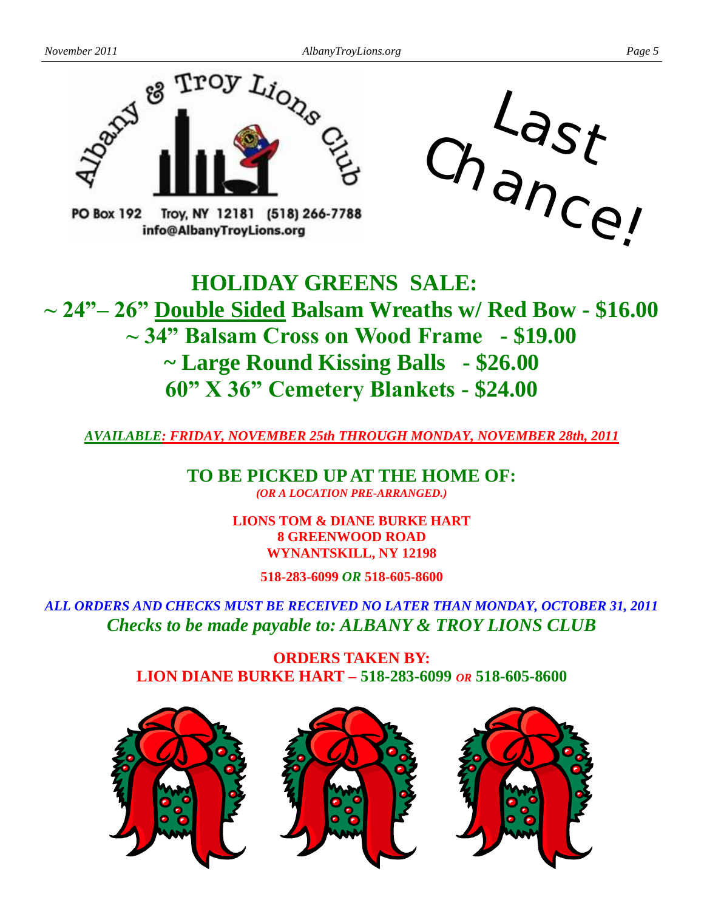

**PO Box 192** Troy, NY 12181 (518) 266-7788 info@AlbanyTrovLions.org



## **HOLIDAY GREENS SALE: ~ 24"– 26" Double Sided Balsam Wreaths w/ Red Bow - \$16.00 ~ 34" Balsam Cross on Wood Frame - \$19.00 ~ Large Round Kissing Balls - \$26.00 60" X 36" Cemetery Blankets - \$24.00**

*AVAILABLE: FRIDAY, NOVEMBER 25th THROUGH MONDAY, NOVEMBER 28th, 2011*

**TO BE PICKED UP AT THE HOME OF:** *(OR A LOCATION PRE-ARRANGED.)*

> **LIONS TOM & DIANE BURKE HART 8 GREENWOOD ROAD WYNANTSKILL, NY 12198**

> > **518-283-6099** *OR* **518-605-8600**

*ALL ORDERS AND CHECKS MUST BE RECEIVED NO LATER THAN MONDAY, OCTOBER 31, 2011 Checks to be made payable to: ALBANY & TROY LIONS CLUB*

> **ORDERS TAKEN BY: LION DIANE BURKE HART – 518-283-6099** *OR* **518-605-8600**



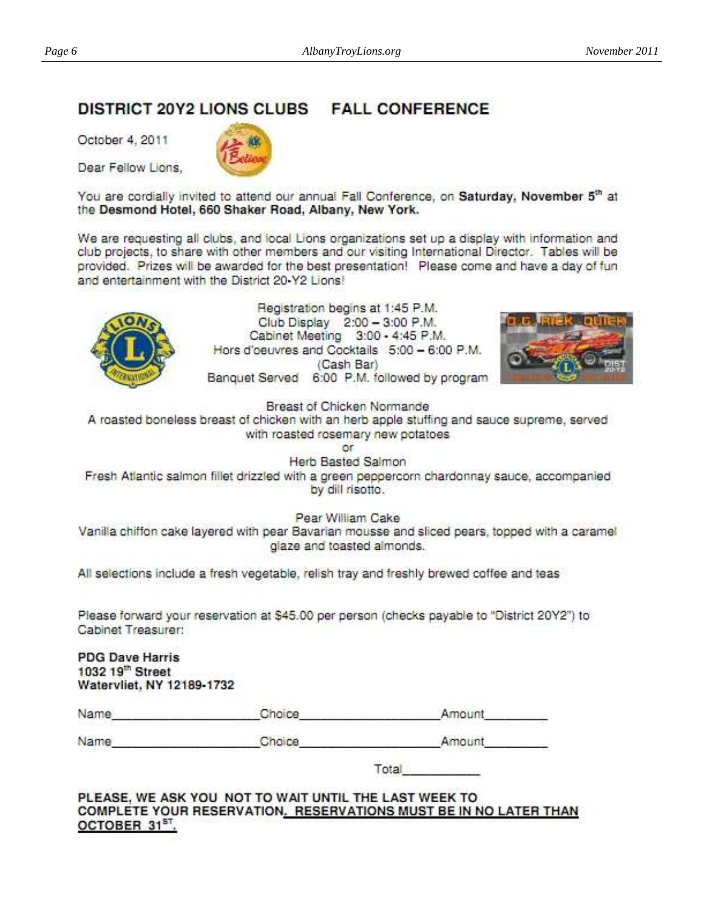### DISTRICT 20Y2 LIONS CLUBS FALL CONFERENCE

October 4, 2011

Dear Fellow Lions.

You are cordially invited to attend our annual Fall Conference, on Saturday, November 5th at the Desmond Hotel, 660 Shaker Road, Albany, New York.

We are requesting all clubs, and local Lions organizations set up a display with information and club projects, to share with other members and our visiting International Director. Tables will be provided. Prizes will be awarded for the best presentation! Please come and have a day of fun and entertainment with the District 20-Y2 Lions!



Registration begins at 1:45 P.M. Club Display 2:00 - 3:00 P.M. Cabinet Meeting 3:00 - 4:45 P.M. Hors d'oeuvres and Cocktails 5:00 - 6:00 P.M. (Cash Bar) Banquet Served 6:00 P.M. followed by program



Breast of Chicken Normande

A roasted boneless breast of chicken with an herb apple stuffing and sauce supreme, served with roasted rosemary new potatoes

 $\alpha$ r Herb Basted Salmon

Fresh Atlantic salmon fillet drizzled with a green peppercorn chardonnay sauce, accompanied by dill risotto.

Pear William Cake Vanilla chiffon cake layered with pear Bavarian mousse and sliced pears, topped with a caramel glaze and toasted almonds.

All selections include a fresh vegetable, relish tray and freshly brewed coffee and teas

Please forward your reservation at \$45.00 per person (checks payable to "District 20Y2") to Cabinet Treasurer:

**PDG Dave Harris** 1032 19th Street Watervliet, NY 12189-1732

| Name | <b>Shorce</b> | Amount |
|------|---------------|--------|
|      |               |        |

Choice

Name

Amount

Total

PLEASE, WE ASK YOU NOT TO WAIT UNTIL THE LAST WEEK TO COMPLETE YOUR RESERVATION. RESERVATIONS MUST BE IN NO LATER THAN OCTOBER 31<sup>ST</sup>